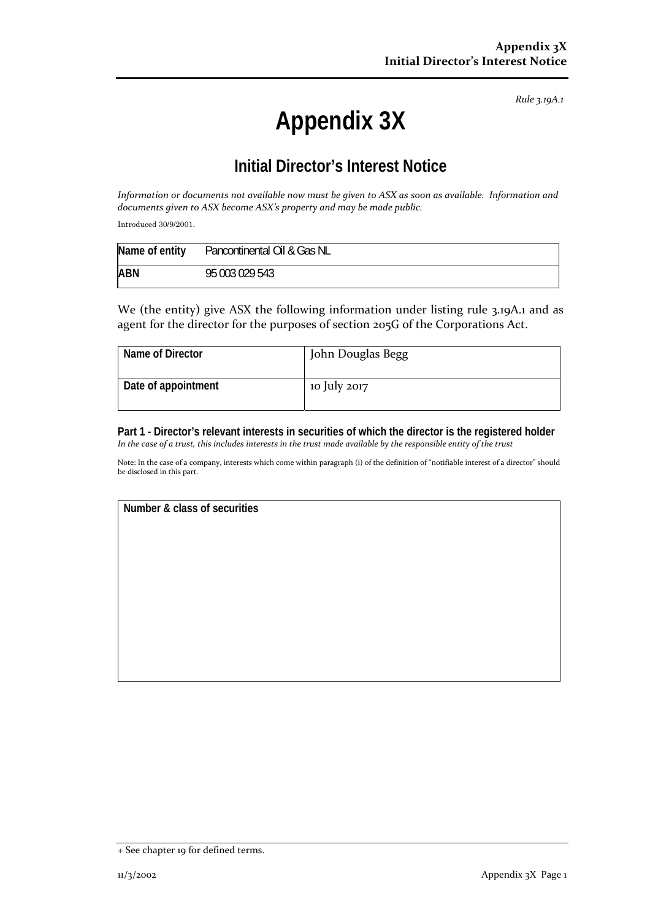*Rule 3.19A.1*

## **Appendix 3X**

## **Initial Director's Interest Notice**

Information or documents not available now must be given to ASX as soon as available. Information and *documents given to ASX become ASX's property and may be made public.*

Introduced 30/9/2001.

| Name of entity | Pancontinental Oil & Gas NL |
|----------------|-----------------------------|
| <b>ABN</b>     | 95 003 029 543              |

We (the entity) give ASX the following information under listing rule 3.19A.1 and as agent for the director for the purposes of section 205G of the Corporations Act.

| Name of Director    | John Douglas Begg |
|---------------------|-------------------|
| Date of appointment | 10 July 2017      |

**Part 1 - Director's relevant interests in securities of which the director is the registered holder**  In the case of a trust, this includes interests in the trust made available by the responsible entity of the trust

Note: In the case of a company, interests which come within paragraph (i) of the definition of "notifiable interest of a director" should be disclosed in this part.

**Number & class of securities** 

<sup>+</sup> See chapter 19 for defined terms.